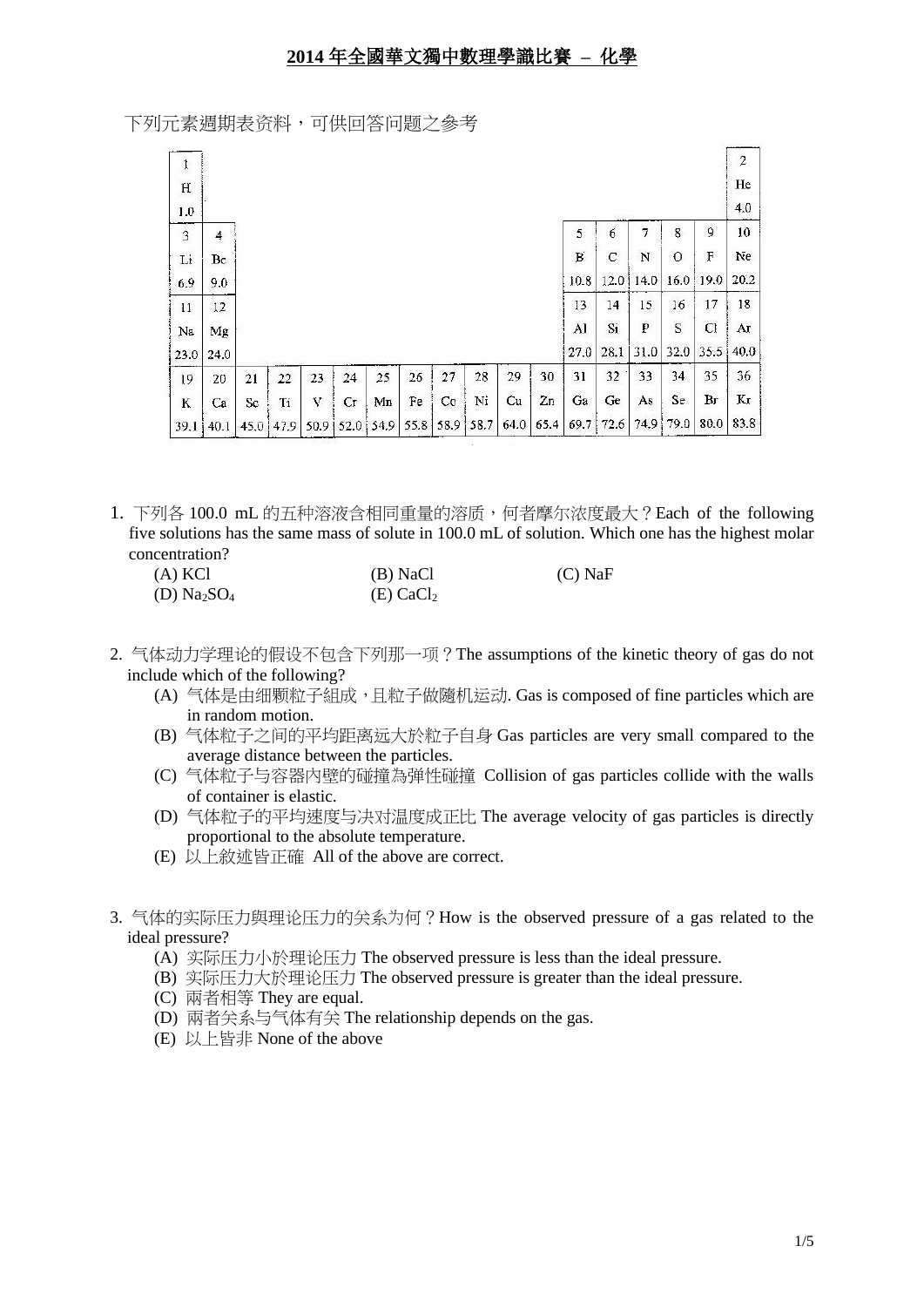下列元素週期表资料,可供回答问题之參考

| $\mathbf{I}$ |                |      |      |       |    |               |      |    |           |      |      |      |             |      |         |      | $\overline{\mathbf{c}}$ |
|--------------|----------------|------|------|-------|----|---------------|------|----|-----------|------|------|------|-------------|------|---------|------|-------------------------|
| $\mathbf H$  |                |      |      |       |    |               |      |    |           |      |      |      |             |      |         |      | He                      |
| 1.0          |                |      |      |       |    |               |      |    |           |      |      |      |             |      |         |      | 4.0                     |
| $\mathbf 3$  | $\overline{4}$ |      |      |       |    |               |      |    |           |      |      | 5    | 6           | 7    | 8       | 9    | 10                      |
| Li           | Вe             |      |      |       |    |               |      |    |           |      |      | В    | $\mathbf C$ | N    | $\circ$ | F    | Ne                      |
| 6.9          | 9.0            |      |      |       |    |               |      |    |           |      |      | 10.8 | 12.0        | 14.0 | 16.0    | 19.0 | 20.2                    |
| 11           | $12 \,$        |      |      |       |    |               |      |    |           |      |      | 13   | 14          | 15   | 16      | 17   | 18                      |
| Na           | Mg             |      |      |       |    |               |      |    |           |      |      | Al   | Si          | P    | S       | Cl   | Ar                      |
| 23.0         | 24.0           |      |      |       |    |               |      |    |           |      |      | 27.0 | 28.1        | 31.0 | 32.0    | 35.5 | 40.0                    |
| 19           | 20             | 21   | 22   | 23    | 24 | 25            | 26   | 27 | 28        | 29   | 30   | 31   | 32          | 33   | 34      | 35   | 36                      |
| K            | Ca             | Sc   | Ti   | V     | Сr | Mn            | Fe   | Co | Ni        | Cu   | Zn   | Ga   | Ge          | As   | Se      | Br   | Kг                      |
| 39.1         | 40.1           | 45,0 | 47.9 | 50.91 |    | $52.0$   54.9 | 55.8 |    | 58.9 58.7 | 64.0 | 65.4 | 69.7 | 72.6        | 74,9 | 79.0    | 80.0 | 83.8                    |

1. 下列各 100.0 mL 的五种溶液含相同重量的溶质,何者摩尔浓度最大?Each of the following five solutions has the same mass of solute in 100.0 mL of solution. Which one has the highest molar concentration?

| $(A)$ KCl    | (B) NaCl                | $(C)$ NaF |
|--------------|-------------------------|-----------|
| (D) $Na2SO4$ | $(E)$ CaCl <sub>2</sub> |           |

- 2. 气体动力学理论的假设不包含下列那一项?The assumptions of the kinetic theory of gas do not include which of the following?
	- (A) 气体是由细颗粒子組成,且粒子做隨机运动. Gas is composed of fine particles which are in random motion.
	- (B) 气体粒子之间的平均距离远大於粒子自身 Gas particles are very small compared to the average distance between the particles.
	- (C) 气体粒子与容器內壁的碰撞為弹性碰撞 Collision of gas particles collide with the walls of container is elastic.
	- (D) 气体粒子的平均速度与决对温度成正比 The average velocity of gas particles is directly proportional to the absolute temperature.
	- (E) 以上敘述皆正確 All of the above are correct.
- 3. 气体的实际压力與理论压力的关系为何?How is the observed pressure of a gas related to the ideal pressure?
	- (A) 实际压力小於理论压力 The observed pressure is less than the ideal pressure.
	- (B) 实际压力大於理论压力 The observed pressure is greater than the ideal pressure.
	- (C) 兩者相等 They are equal.
	- (D) 兩者关系与气体有关 The relationship depends on the gas.
	- (E) 以上皆非 None of the above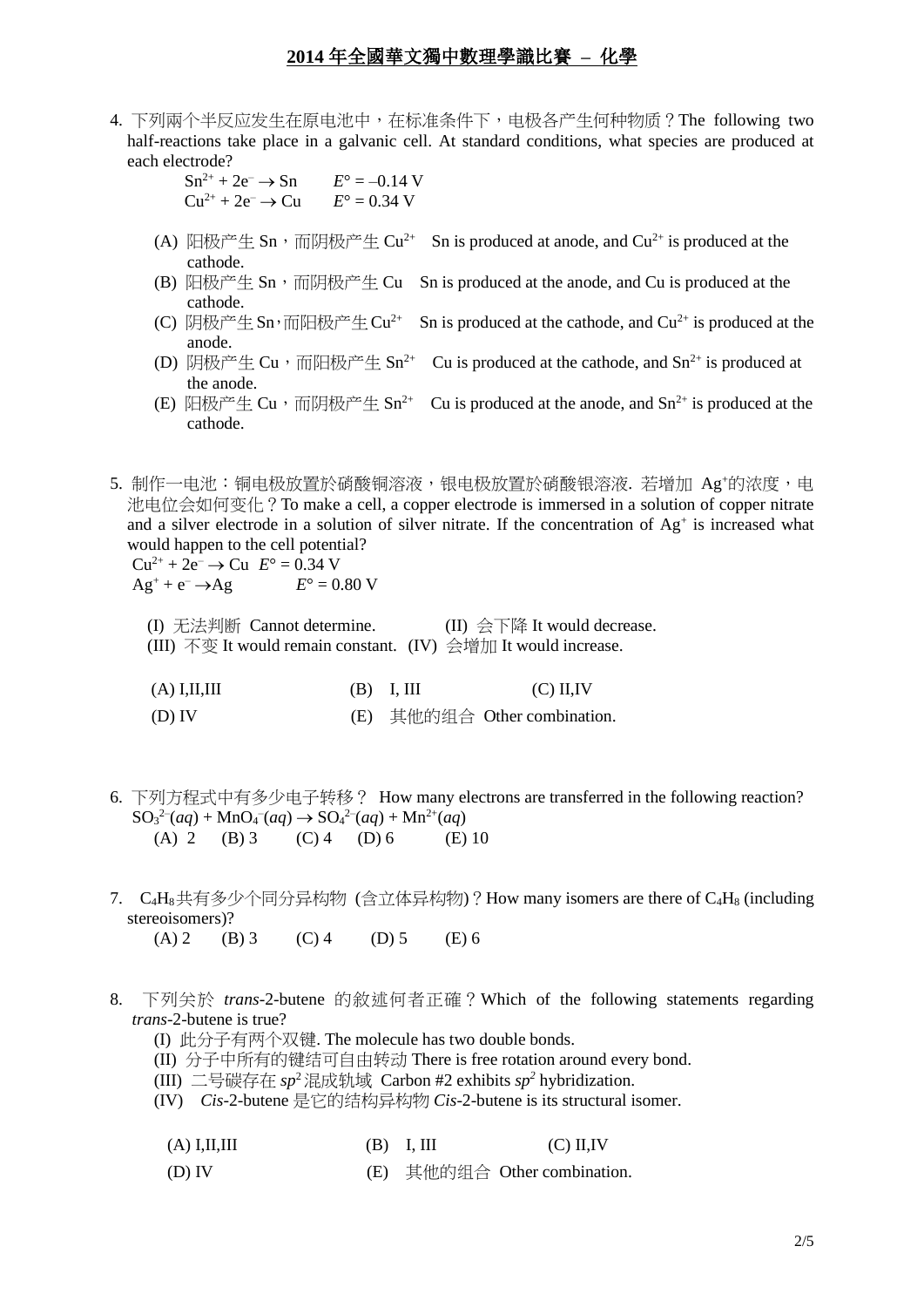- 4. 下列兩个半反应发生在原电池中,在标准条件下,电极各产生何种物质?The following two half-reactions take place in a galvanic cell. At standard conditions, what species are produced at each electrode?
	- $Sn^{2+} + 2e^- \rightarrow Sn$   $E^{\circ} = -0.14$  V  $Cu^{2+} + 2e^- \rightarrow Cu$   $E^{\circ} = 0.34$  V
	- (A) 阳极产生 Sn, 而阴极产生 Cu<sup>2+</sup> Sn is produced at anode, and Cu<sup>2+</sup> is produced at the cathode.
	- (B) 阳极产生 Sn, 而阴极产生 Cu Sn is produced at the anode, and Cu is produced at the cathode.
	- (C) 阴极产生 Sn, 而阳极产生 Cu<sup>2+</sup> Sn is produced at the cathode, and Cu<sup>2+</sup> is produced at the anode.
	- (D) 阴极产生 Cu, 而阳极产生 Sn<sup>2+</sup> Cu is produced at the cathode, and Sn<sup>2+</sup> is produced at the anode.
	- (E) 阳极产生 Cu, 而阴极产生 Sn<sup>2+</sup> Cu is produced at the anode, and Sn<sup>2+</sup> is produced at the cathode.
- 5. 制作一电池:铜电极放置於硝酸铜溶液,银电极放置於硝酸银溶液. 若增加 Ag+的浓度,电 池电位会如何变化?To make a cell, a copper electrode is immersed in a solution of copper nitrate and a silver electrode in a solution of silver nitrate. If the concentration of Ag<sup>+</sup> is increased what would happen to the cell potential?  $Cu^{2+} + 2e^- \rightarrow Cu \ E^{\circ} = 0.34 \ V$

 $Ag^+ + e^- \rightarrow Ag$   $E^{\circ} = 0.80 \text{ V}$ 

(I) 无法判断 Cannot determine. (II) 会下降 It would decrease. (III) 不变 It would remain constant. (IV) 会增加 It would increase.

| $(A)$ I,II,III | $(B)$ I, III | $(C)$ II,IV |
|----------------|--------------|-------------|
|                | .            |             |

(D) IV (E) 其他的组合 Other combination.

- 6. 下列方程式中有多少电子转移? How many electrons are transferred in the following reaction?  $SO_3^{2-}(aq) + MnO_4^{-}(aq) \rightarrow SO_4^{2-}(aq) + Mn^{2+}(aq)$ (A) 2 (B) 3 (C) 4 (D) 6 (E) 10
- 7. C4H8共有多少个同分异构物 (含立体异构物)?How many isomers are there of C4H<sup>8</sup> (including stereoisomers)? (A) 2 (B) 3 (C) 4 (D) 5 (E) 6
- 8. 下列关於 *trans*-2-butene 的敘述何者正確?Which of the following statements regarding *trans*-2-butene is true?
	- (I) 此分子有两个双键. The molecule has two double bonds.
	- (II) 分子中所有的键结可自由转动 There is free rotation around every bond.
	- (III) 二号碳存在 *sp*<sup>2</sup>混成轨域 Carbon #2 exhibits *sp<sup>2</sup>* hybridization.
	- (IV) *Cis*-2-butene 是它的结构异构物 *Cis*-2-butene is its structural isomer.

| $(A)$ I,II,III | $(B)$ I, III | $(C)$ II, IV |
|----------------|--------------|--------------|
|----------------|--------------|--------------|

(D) IV (E) 其他的组合 Other combination.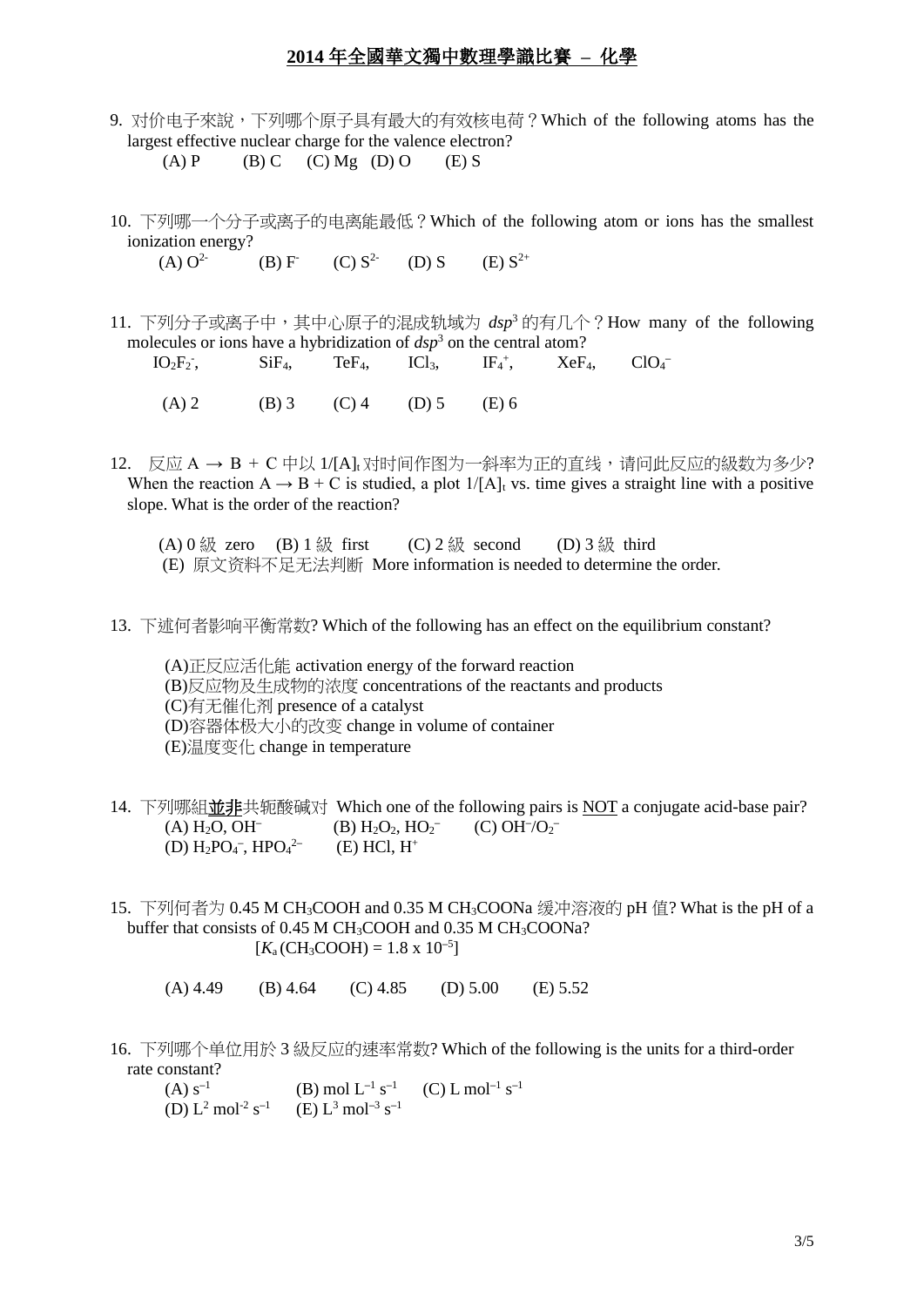- 9. 对价电子來說,下列哪个原子具有最大的有效核电荷?Which of the following atoms has the largest effective nuclear charge for the valence electron? (A) P (B) C (C) Mg (D) O (E) S
- 10. 下列哪一个分子或离子的电离能最低?Which of the following atom or ions has the smallest ionization energy?  $(A) O<sup>2</sup>$  $(B) F<sup>-</sup>$  $(C) S^{2-}$ (D) S  $(E) S^{2+}$
- 11. 下列分子或离子中,其中心原子的混成轨域为 *dsp*<sup>3</sup> 的有几个?How many of the following
- molecules or ions have a hybridization of  $dsp<sup>3</sup>$  on the central atom?  $IO<sub>2</sub>F<sub>2</sub>$  $SiF_4$ ,  $TeF_4$ ,  $ICl_3$ ,  $IF_4^+,$  $XeF<sub>4</sub>$ **–** (A) 2 (B) 3 (C) 4 (D) 5 (E) 6
- 12. 反应 A → B + C 中以 1/[A]t对时间作图为一斜率为正的直线,请问此反应的级数为多少? When the reaction  $A \rightarrow B + C$  is studied, a plot  $1/[A]_t$  vs. time gives a straight line with a positive slope. What is the order of the reaction?
	- (A) 0 級 zero (B) 1 級 first (C) 2 級 second (D) 3 級 third (E) 原文资料不足无法判断 More information is needed to determine the order.
- 13. 下述何者影响平衡常数? Which of the following has an effect on the equilibrium constant?

(A)正反应活化能 activation energy of the forward reaction (B)反应物及生成物的浓度 concentrations of the reactants and products (C)有无催化剂 presence of a catalyst (D)容器体极大小的改变 change in volume of container (E)温度变化 change in temperature

- 14. 下列哪組並非共轭酸碱对 Which one of the following pairs is NOT a conjugate acid-base pair? (A) H2O, OH**–**  $(B) H_2O_2$ ,  $HO_2^ (C)$  OH<sup>-</sup> $/O_2^-$ (D) H2PO<sup>4</sup> **–** , HPO<sup>4</sup> 2**–**  $(E)$  HCl,  $H^+$
- 15. 下列何者为 0.45 M CH3COOH and 0.35 M CH3COONa 缓冲溶液的 pH 值? What is the pH of a buffer that consists of 0.45 M CH3COOH and 0.35 M CH3COONa?  $[K_a(CH_3COOH) = 1.8 \times 10^{-5}]$ 
	- (A) 4.49 (B) 4.64 (C) 4.85 (D) 5.00 (E) 5.52
- 16. 下列哪个单位用於 3 級反应的速率常数? Which of the following is the units for a third-order rate constant?
	- $(A) s^{-1}$  $(B) \text{ mol } L^{-1} \text{ s}^{-1}$  $(C)$  L mol<sup>-1</sup> s<sup>-1</sup>  $(D) L<sup>2</sup> mol<sup>-2</sup> s<sup>-1</sup>$  $(E) L<sup>3</sup>$  mol<sup>-3</sup> s<sup>-1</sup>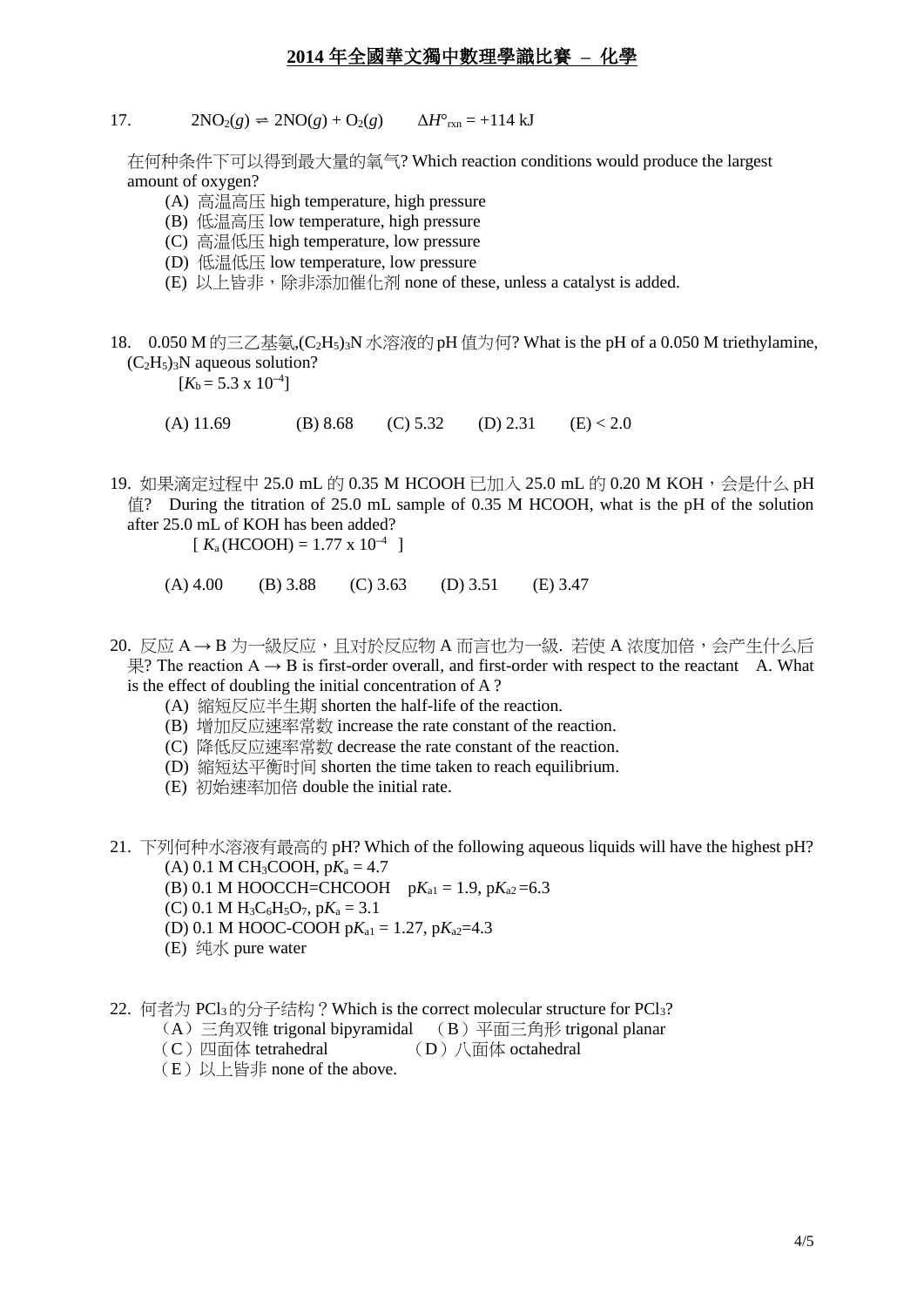17.  $2NO_2(g) = 2NO(g) + O_2(g)$   $\Delta H^{\circ}_{rxn} = +114 \text{ kJ}$ 

 在何种条件下可以得到最大量的氧气? Which reaction conditions would produce the largest amount of oxygen?

- (A) 高温高压 high temperature, high pressure
- (B) 低温高压 low temperature, high pressure
- (C) 高温低压 high temperature, low pressure
- (D) 低温低压 low temperature, low pressure
- (E) 以上皆非,除非添加催化剂 none of these, unless a catalyst is added.
- 18. 0.050 M 的三乙基氨,  $(C_2H_5)$ <sub>3</sub>N 水溶液的 pH 值为何? What is the pH of a 0.050 M triethylamine,  $(C_2H_5)_3N$  aqueous solution?

 $[K_b = 5.3 \times 10^{-4}]$ 

- (A) 11.69 (B) 8.68 (C) 5.32 (D) 2.31 (E) < 2.0
- 19. 如果滴定过程中 25.0 mL 的 0.35 M HCOOH 已加入 25.0 mL 的 0.20 M KOH,会是什么 pH 值? During the titration of 25.0 mL sample of 0.35 M HCOOH, what is the pH of the solution after 25.0 mL of KOH has been added?

 $K_a(HCOOH) = 1.77 \times 10^{-4}$ 

- (A) 4.00 (B) 3.88 (C) 3.63 (D) 3.51 (E) 3.47
- $20.$  反应 A → B 为一級反应, 且对於反应物 A 而言也为一級. 若使 A 浓度加倍, 会产生什么后 果? The reaction A → B is first-order overall, and first-order with respect to the reactant A. What is the effect of doubling the initial concentration of A ?
	- (A) 縮短反应半生期 shorten the half-life of the reaction.
	- (B) 增加反应速率常数 increase the rate constant of the reaction.
	- (C) 降低反应速率常数 decrease the rate constant of the reaction.
	- (D) 縮短达平衡时间 shorten the time taken to reach equilibrium.
	- (E) 初始速率加倍 double the initial rate.
- 21. 下列何种水溶液有最高的 pH? Which of the following aqueous liquids will have the highest pH?  $(A)$  0.1 M CH<sub>3</sub>COOH, p $K_a = 4.7$ 
	- (B) 0.1 M HOOCCH=CHCOOH  $pK_{a1} = 1.9$ ,  $pK_{a2} = 6.3$
	-
	- (C) 0.1 M H<sub>3</sub>C<sub>6</sub>H<sub>5</sub>O<sub>7</sub>, p $K_a = 3.1$
	- (D) 0.1 M HOOC-COOH  $pK_{a1} = 1.27$ ,  $pK_{a2} = 4.3$
	- (E) 纯水 pure water
- 22. 何者为 PCl<sub>3</sub>的分子结构?Which is the correct molecular structure for PCl<sub>3</sub>?
	- (A) 三角双锥 trigonal bipyramidal (B)平面三角形 trigonal planar
	- (C) 四面体 tetrahedral (D) 八面体 octahedral
	- (E)以上皆非 none of the above.